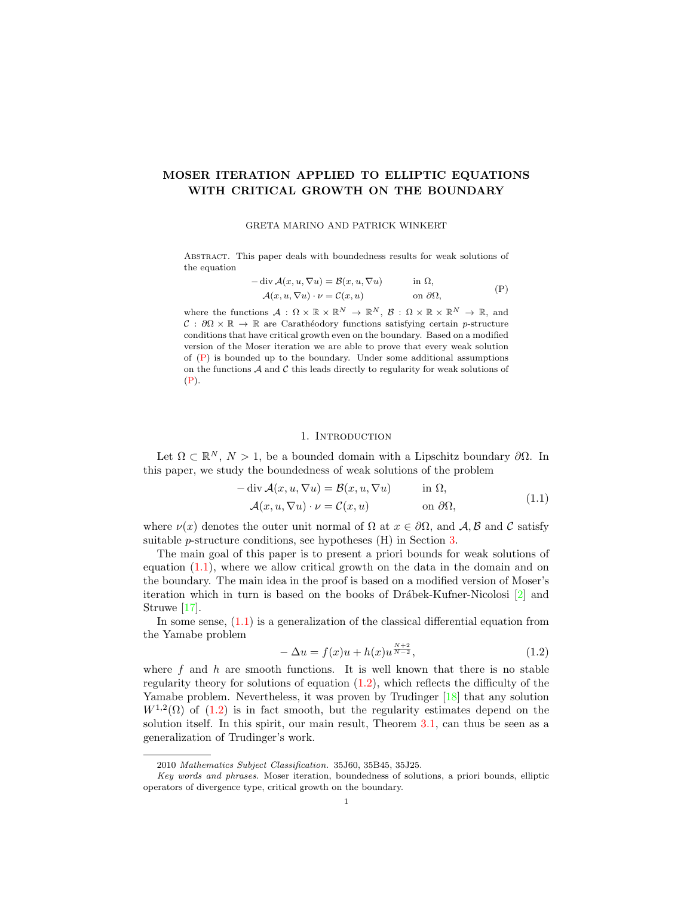# MOSER ITERATION APPLIED TO ELLIPTIC EQUATIONS WITH CRITICAL GROWTH ON THE BOUNDARY

#### GRETA MARINO AND PATRICK WINKERT

Abstract. This paper deals with boundedness results for weak solutions of the equation

<span id="page-0-0"></span>
$$
- \operatorname{div} \mathcal{A}(x, u, \nabla u) = \mathcal{B}(x, u, \nabla u) \quad \text{in } \Omega,
$$
  

$$
\mathcal{A}(x, u, \nabla u) \cdot \nu = \mathcal{C}(x, u) \quad \text{on } \partial \Omega,
$$
 (P)

where the functions  $A: \Omega \times \mathbb{R} \times \mathbb{R}^N \to \mathbb{R}^N$ ,  $B: \Omega \times \mathbb{R} \times \mathbb{R}^N \to \mathbb{R}$ , and  $\mathcal{C}: \partial\Omega \times \mathbb{R} \to \mathbb{R}$  are Carathéodory functions satisfying certain p-structure conditions that have critical growth even on the boundary. Based on a modified version of the Moser iteration we are able to prove that every weak solution of  $(P)$  is bounded up to the boundary. Under some additional assumptions on the functions  $A$  and  $C$  this leads directly to regularity for weak solutions of [\(P\)](#page-0-0).

# <span id="page-0-1"></span>1. INTRODUCTION

Let  $\Omega \subset \mathbb{R}^N$ ,  $N > 1$ , be a bounded domain with a Lipschitz boundary  $\partial \Omega$ . In this paper, we study the boundedness of weak solutions of the problem

$$
-\operatorname{div} \mathcal{A}(x, u, \nabla u) = \mathcal{B}(x, u, \nabla u) \quad \text{in } \Omega,
$$
  

$$
\mathcal{A}(x, u, \nabla u) \cdot \nu = \mathcal{C}(x, u) \quad \text{on } \partial \Omega,
$$
 (1.1)

where  $\nu(x)$  denotes the outer unit normal of  $\Omega$  at  $x \in \partial\Omega$ , and A, B and C satisfy suitable p-structure conditions, see hypotheses (H) in Section [3.](#page-4-0)

The main goal of this paper is to present a priori bounds for weak solutions of equation  $(1.1)$ , where we allow critical growth on the data in the domain and on the boundary. The main idea in the proof is based on a modified version of Moser's iteration which in turn is based on the books of Drábek-Kufner-Nicolosi  $[2]$  and Struwe [\[17\]](#page-16-0).

In some sense,  $(1.1)$  is a generalization of the classical differential equation from the Yamabe problem

<span id="page-0-2"></span>
$$
-\Delta u = f(x)u + h(x)u^{\frac{N+2}{N-2}},
$$
\n(1.2)

where  $f$  and  $h$  are smooth functions. It is well known that there is no stable regularity theory for solutions of equation  $(1.2)$ , which reflects the difficulty of the Yamabe problem. Nevertheless, it was proven by Trudinger [\[18\]](#page-16-1) that any solution  $W^{1,2}(\Omega)$  of [\(1.2\)](#page-0-2) is in fact smooth, but the regularity estimates depend on the solution itself. In this spirit, our main result, Theorem [3.1,](#page-4-1) can thus be seen as a generalization of Trudinger's work.

<sup>2010</sup> Mathematics Subject Classification. 35J60, 35B45, 35J25.

Key words and phrases. Moser iteration, boundedness of solutions, a priori bounds, elliptic operators of divergence type, critical growth on the boundary.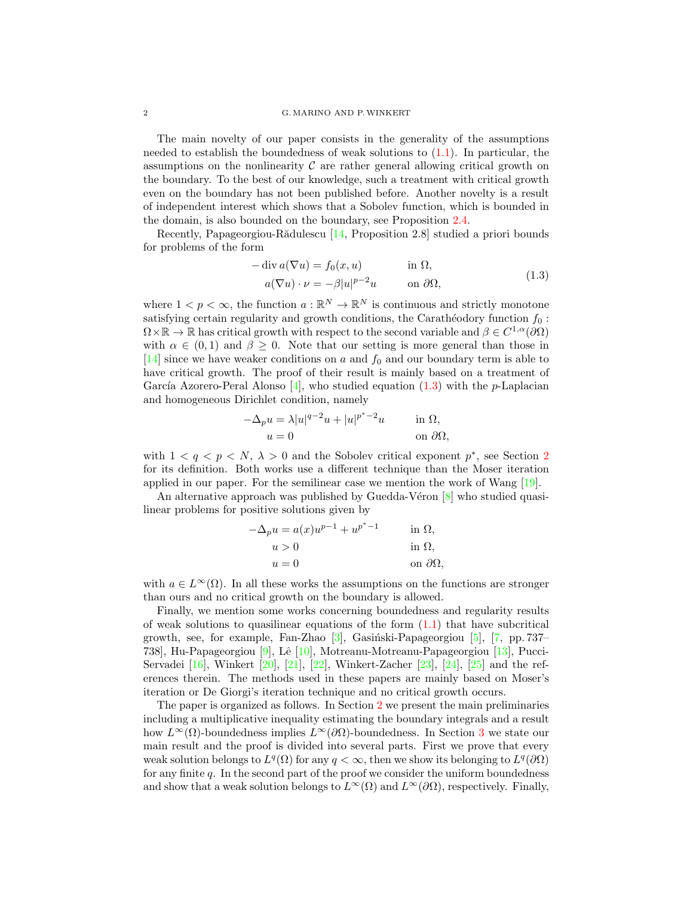#### 2 G. MARINO AND P.WINKERT

The main novelty of our paper consists in the generality of the assumptions needed to establish the boundedness of weak solutions to  $(1.1)$ . In particular, the assumptions on the nonlinearity  $\mathcal C$  are rather general allowing critical growth on the boundary. To the best of our knowledge, such a treatment with critical growth even on the boundary has not been published before. Another novelty is a result of independent interest which shows that a Sobolev function, which is bounded in the domain, is also bounded on the boundary, see Proposition [2.4.](#page-3-0)

Recently, Papageorgiou-Rădulescu [\[14,](#page-16-2) Proposition 2.8] studied a priori bounds for problems of the form

<span id="page-1-0"></span>
$$
-\operatorname{div} a(\nabla u) = f_0(x, u) \qquad \text{in } \Omega,
$$
  
\n
$$
a(\nabla u) \cdot \nu = -\beta |u|^{p-2} u \qquad \text{on } \partial\Omega,
$$
\n(1.3)

where  $1 < p < \infty$ , the function  $a : \mathbb{R}^N \to \mathbb{R}^N$  is continuous and strictly monotone satisfying certain regularity and growth conditions, the Carathéodory function  $f_0$ :  $\Omega \times \mathbb{R} \to \mathbb{R}$  has critical growth with respect to the second variable and  $\beta \in C^{1,\alpha}(\partial\Omega)$ with  $\alpha \in (0,1)$  and  $\beta \geq 0$ . Note that our setting is more general than those in [\[14\]](#page-16-2) since we have weaker conditions on  $a$  and  $f_0$  and our boundary term is able to have critical growth. The proof of their result is mainly based on a treatment of García Azorero-Peral Alonso  $[4]$ , who studied equation [\(1.3\)](#page-1-0) with the p-Laplacian and homogeneous Dirichlet condition, namely

$$
-\Delta_p u = \lambda |u|^{q-2}u + |u|^{p^*-2}u \quad \text{in } \Omega,
$$
  
 
$$
u = 0 \quad \text{on } \partial\Omega,
$$

with  $1 < q < p < N$ ,  $\lambda > 0$  and the Sobolev critical exponent  $p^*$ , see Section [2](#page-2-0) for its definition. Both works use a different technique than the Moser iteration applied in our paper. For the semilinear case we mention the work of Wang [\[19\]](#page-16-3).

An alternative approach was published by Guedda-Véron  $[8]$  who studied quasilinear problems for positive solutions given by

$$
-\Delta_p u = a(x)u^{p-1} + u^{p^*-1}
$$
 in  $\Omega$ ,  
\n
$$
u > 0
$$
 in  $\Omega$ ,  
\n
$$
u = 0
$$
 on  $\partial\Omega$ ,

with  $a \in L^{\infty}(\Omega)$ . In all these works the assumptions on the functions are stronger than ours and no critical growth on the boundary is allowed.

Finally, we mention some works concerning boundedness and regularity results of weak solutions to quasilinear equations of the form  $(1.1)$  that have subcritical growth, see, for example, Fan-Zhao  $[3]$ , Gasiński-Papageorgiou  $[5]$ ,  $[7, pp. 737 [7, pp. 737-$ 738], Hu-Papageorgiou [\[9\]](#page-15-6), Lˆe [\[10\]](#page-15-7), Motreanu-Motreanu-Papageorgiou [\[13\]](#page-16-4), Pucci-Servadei [\[16\]](#page-16-5), Winkert [\[20\]](#page-16-6), [\[21\]](#page-16-7), [\[22\]](#page-16-8), Winkert-Zacher [\[23\]](#page-16-9), [\[24\]](#page-16-10), [\[25\]](#page-16-11) and the references therein. The methods used in these papers are mainly based on Moser's iteration or De Giorgi's iteration technique and no critical growth occurs.

The paper is organized as follows. In Section [2](#page-2-0) we present the main preliminaries including a multiplicative inequality estimating the boundary integrals and a result how  $L^{\infty}(\Omega)$ -boundedness implies  $L^{\infty}(\partial\Omega)$ -boundedness. In Section [3](#page-4-0) we state our main result and the proof is divided into several parts. First we prove that every weak solution belongs to  $L^q(\Omega)$  for any  $q < \infty$ , then we show its belonging to  $L^q(\partial\Omega)$ for any finite  $q$ . In the second part of the proof we consider the uniform boundedness and show that a weak solution belongs to  $L^{\infty}(\Omega)$  and  $L^{\infty}(\partial\Omega)$ , respectively. Finally,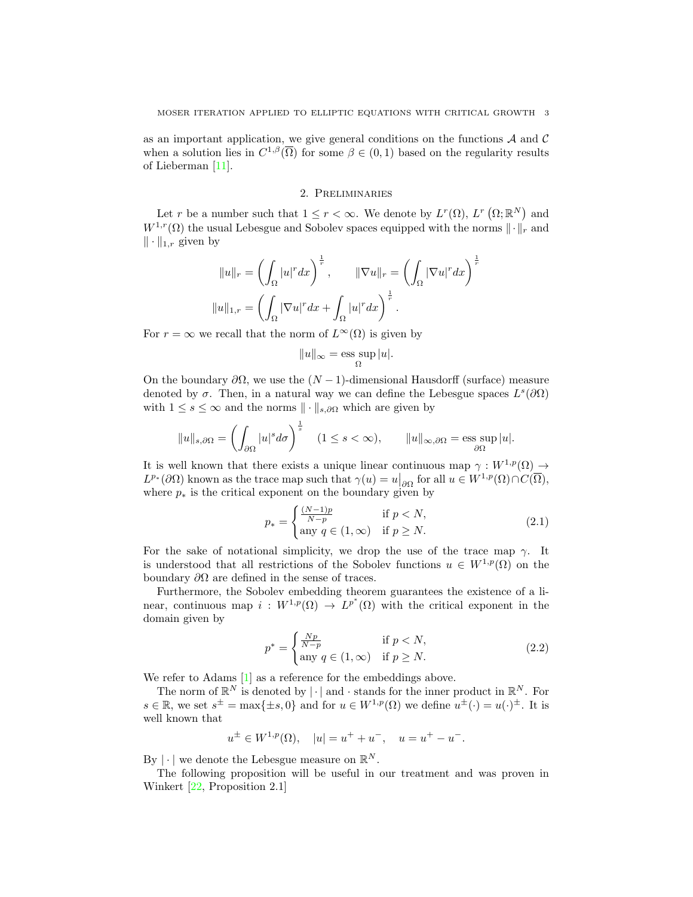as an important application, we give general conditions on the functions  ${\mathcal A}$  and  ${\mathcal C}$ when a solution lies in  $C^{1,\beta}(\overline{\Omega})$  for some  $\beta \in (0,1)$  based on the regularity results of Lieberman [\[11\]](#page-15-8).

# 2. Preliminaries

<span id="page-2-0"></span>Let r be a number such that  $1 \leq r < \infty$ . We denote by  $L^r(\Omega)$ ,  $L^r(\Omega;\mathbb{R}^N)$  and  $W^{1,r}(\Omega)$  the usual Lebesgue and Sobolev spaces equipped with the norms  $\|\cdot\|_r$  and  $\|\cdot\|_{1,r}$  given by

$$
||u||_r = \left(\int_{\Omega} |u|^r dx\right)^{\frac{1}{r}}, \qquad ||\nabla u||_r = \left(\int_{\Omega} |\nabla u|^r dx\right)^{\frac{1}{r}}
$$

$$
||u||_{1,r} = \left(\int_{\Omega} |\nabla u|^r dx + \int_{\Omega} |u|^r dx\right)^{\frac{1}{r}}.
$$

For  $r = \infty$  we recall that the norm of  $L^{\infty}(\Omega)$  is given by

$$
||u||_{\infty} = \operatorname*{ess\; sup}_{\Omega} |u|.
$$

On the boundary  $\partial\Omega$ , we use the  $(N-1)$ -dimensional Hausdorff (surface) measure denoted by  $\sigma$ . Then, in a natural way we can define the Lebesgue spaces  $L^s(\partial\Omega)$ with  $1 \leq s \leq \infty$  and the norms  $\|\cdot\|_{s,\partial\Omega}$  which are given by

$$
||u||_{s,\partial\Omega} = \left(\int_{\partial\Omega} |u|^s d\sigma\right)^{\frac{1}{s}} \quad (1 \le s < \infty), \qquad ||u||_{\infty,\partial\Omega} = \operatorname*{ess\;sup}_{\partial\Omega} |u|.
$$

It is well known that there exists a unique linear continuous map  $\gamma: W^{1,p}(\Omega) \to$  $L^{p_{*}}(\partial \Omega)$  known as the trace map such that  $\gamma(u) = u|_{\partial \Omega}$  for all  $u \in W^{1,p}(\Omega) \cap C(\overline{\Omega}),$ where  $p_*$  is the critical exponent on the boundary given by

<span id="page-2-1"></span>
$$
p_* = \begin{cases} \frac{(N-1)p}{N-p} & \text{if } p < N, \\ \text{any } q \in (1, \infty) & \text{if } p \ge N. \end{cases} \tag{2.1}
$$

For the sake of notational simplicity, we drop the use of the trace map  $\gamma$ . It is understood that all restrictions of the Sobolev functions  $u \in W^{1,p}(\Omega)$  on the boundary  $\partial\Omega$  are defined in the sense of traces.

Furthermore, the Sobolev embedding theorem guarantees the existence of a linear, continuous map  $i: W^{1,p}(\Omega) \to L^{p^*}(\Omega)$  with the critical exponent in the domain given by

<span id="page-2-2"></span>
$$
p^* = \begin{cases} \frac{Np}{N-p} & \text{if } p < N, \\ \text{any } q \in (1, \infty) & \text{if } p \ge N. \end{cases}
$$
 (2.2)

We refer to Adams  $[1]$  as a reference for the embeddings above.

The norm of  $\mathbb{R}^N$  is denoted by  $|\cdot|$  and  $\cdot$  stands for the inner product in  $\mathbb{R}^N$ . For  $s \in \mathbb{R}$ , we set  $s^{\pm} = \max\{\pm s, 0\}$  and for  $u \in W^{1,p}(\Omega)$  we define  $u^{\pm}(\cdot) = u(\cdot)^{\pm}$ . It is well known that

$$
u^{\pm} \in W^{1,p}(\Omega), \quad |u| = u^{+} + u^{-}, \quad u = u^{+} - u^{-}.
$$

By  $|\cdot|$  we denote the Lebesgue measure on  $\mathbb{R}^N$ .

The following proposition will be useful in our treatment and was proven in Winkert [\[22,](#page-16-8) Proposition 2.1]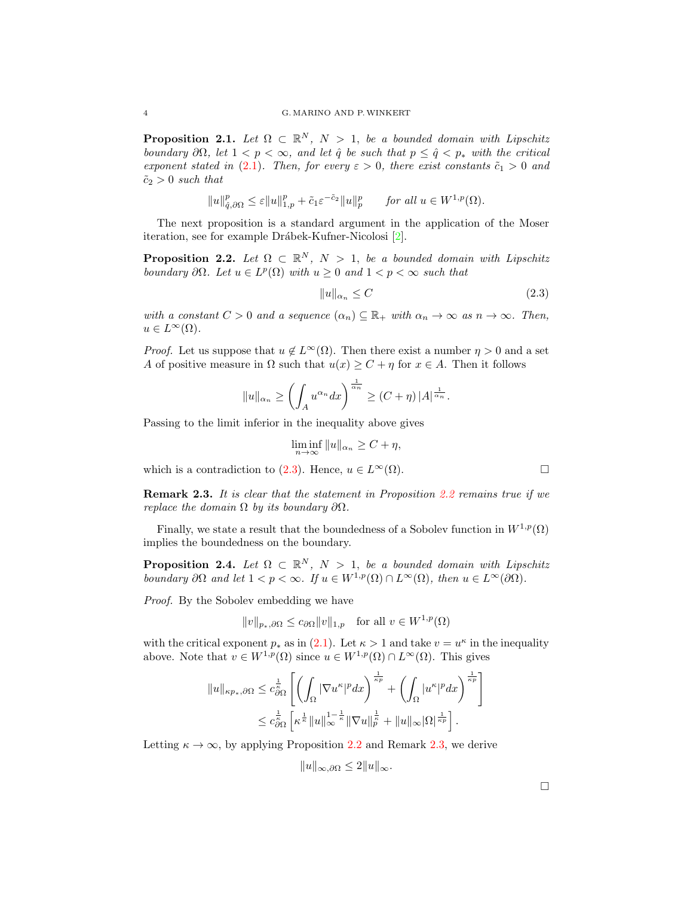<span id="page-3-4"></span>**Proposition 2.1.** Let  $\Omega \subset \mathbb{R}^N$ ,  $N > 1$ , be a bounded domain with Lipschitz boundary  $\partial\Omega$ , let  $1 < p < \infty$ , and let  $\hat{q}$  be such that  $p \leq \hat{q} < p_*$  with the critical exponent stated in [\(2.1\)](#page-2-1). Then, for every  $\varepsilon > 0$ , there exist constants  $\tilde{c}_1 > 0$  and  $\tilde{c}_2 > 0$  such that

$$
||u||_{\hat{q},\partial\Omega}^p \leq \varepsilon ||u||_{1,p}^p + \tilde{c}_1 \varepsilon^{-\tilde{c}_2} ||u||_p^p \quad \text{for all } u \in W^{1,p}(\Omega).
$$

The next proposition is a standard argument in the application of the Moser iteration, see for example Drábek-Kufner-Nicolosi [\[2\]](#page-15-0).

<span id="page-3-2"></span>**Proposition 2.2.** Let  $\Omega \subset \mathbb{R}^N$ ,  $N > 1$ , be a bounded domain with Lipschitz boundary  $\partial\Omega$ . Let  $u \in L^p(\Omega)$  with  $u \geq 0$  and  $1 < p < \infty$  such that

$$
||u||_{\alpha_n} \le C \tag{2.3}
$$

with a constant  $C > 0$  and a sequence  $(\alpha_n) \subseteq \mathbb{R}_+$  with  $\alpha_n \to \infty$  as  $n \to \infty$ . Then,  $u \in L^{\infty}(\Omega)$ .

*Proof.* Let us suppose that  $u \notin L^{\infty}(\Omega)$ . Then there exist a number  $\eta > 0$  and a set A of positive measure in  $\Omega$  such that  $u(x) \geq C + \eta$  for  $x \in A$ . Then it follows

$$
||u||_{\alpha_n} \ge \left(\int_A u^{\alpha_n} dx\right)^{\frac{1}{\alpha_n}} \ge (C+\eta) |A|^{\frac{1}{\alpha_n}}.
$$

Passing to the limit inferior in the inequality above gives

 $\liminf_{n\to\infty} ||u||_{\alpha_n} \geq C + \eta,$ 

which is a contradiction to [\(2.3\)](#page-3-1). Hence,  $u \in L^{\infty}(\Omega)$ .

<span id="page-3-3"></span>**Remark 2.3.** It is clear that the statement in Proposition [2.2](#page-3-2) remains true if we replace the domain  $\Omega$  by its boundary  $\partial\Omega$ .

Finally, we state a result that the boundedness of a Sobolev function in  $W^{1,p}(\Omega)$ implies the boundedness on the boundary.

<span id="page-3-0"></span>**Proposition 2.4.** Let  $\Omega \subset \mathbb{R}^N$ ,  $N > 1$ , be a bounded domain with Lipschitz boundary  $\partial\Omega$  and let  $1 < p < \infty$ . If  $u \in W^{1,p}(\Omega) \cap L^{\infty}(\Omega)$ , then  $u \in L^{\infty}(\partial\Omega)$ .

Proof. By the Sobolev embedding we have

$$
||v||_{p_*,\partial\Omega} \le c_{\partial\Omega} ||v||_{1,p} \quad \text{for all } v \in W^{1,p}(\Omega)
$$

with the critical exponent  $p_*$  as in [\(2.1\)](#page-2-1). Let  $\kappa > 1$  and take  $v = u^{\kappa}$  in the inequality above. Note that  $v \in W^{1,p}(\Omega)$  since  $u \in W^{1,p}(\Omega) \cap L^{\infty}(\Omega)$ . This gives

$$
||u||_{\kappa p_*,\partial\Omega} \leq c_{\partial\Omega}^{\frac{1}{\kappa}} \left[ \left( \int_{\Omega} |\nabla u^{\kappa}|^p dx \right)^{\frac{1}{\kappa p}} + \left( \int_{\Omega} |u^{\kappa}|^p dx \right)^{\frac{1}{\kappa p}} \right]
$$
  

$$
\leq c_{\partial\Omega}^{\frac{1}{\kappa}} \left[ \kappa^{\frac{1}{\kappa}} ||u||_{\infty}^{1-\frac{1}{\kappa}} ||\nabla u||_p^{\frac{1}{\kappa}} + ||u||_{\infty} |\Omega|^{\frac{1}{\kappa p}} \right].
$$

Letting  $\kappa \to \infty$ , by applying Proposition [2.2](#page-3-2) and Remark [2.3,](#page-3-3) we derive

$$
||u||_{\infty,\partial\Omega} \le 2||u||_{\infty}.
$$

<span id="page-3-1"></span>
$$
\Box
$$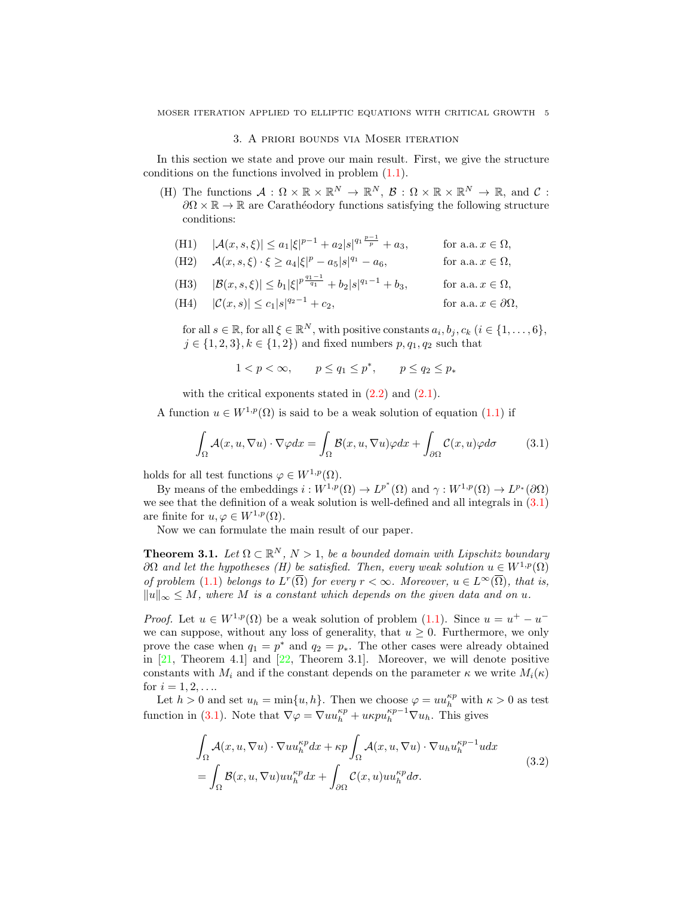#### 3. A priori bounds via Moser iteration

<span id="page-4-0"></span>In this section we state and prove our main result. First, we give the structure conditions on the functions involved in problem  $(1.1)$ .

(H) The functions  $\mathcal{A}: \Omega \times \mathbb{R} \times \mathbb{R}^N \to \mathbb{R}^N$ ,  $\mathcal{B}: \Omega \times \mathbb{R} \times \mathbb{R}^N \to \mathbb{R}$ , and  $\mathcal{C}:$  $\partial\Omega \times \mathbb{R} \to \mathbb{R}$  are Carathéodory functions satisfying the following structure conditions:

|  |  | (H1) $ \mathcal{A}(x,s,\xi)  \leq a_1  \xi ^{p-1} + a_2  s ^{q_1 \frac{p-1}{p}} + a_3,$ | for a.a. $x \in \Omega$ , |
|--|--|-----------------------------------------------------------------------------------------|---------------------------|
|--|--|-----------------------------------------------------------------------------------------|---------------------------|

(H2)  $\mathcal{A}(x, s, \xi) \cdot \xi \ge a_4 |\xi|^p - a_5 |s|$ for a.a.  $x \in \Omega$ ,

(H3) 
$$
|\mathcal{B}(x, s, \xi)| \le b_1 |\xi|^{p \frac{q_1 - 1}{q_1}} + b_2 |s|^{q_1 - 1} + b_3
$$
, for a.a.  $x \in \Omega$ ,

(H4)  $|\mathcal{C}(x, s)| \leq c_1 |s|^{q_2 - 1} + c_2$ , for a.a.  $x \in \partial\Omega$ .

for all  $s \in \mathbb{R}$ , for all  $\xi \in \mathbb{R}^N$ , with positive constants  $a_i, b_j, c_k$   $(i \in \{1, ..., 6\},$  $j \in \{1, 2, 3\}, k \in \{1, 2\}$  and fixed numbers  $p, q_1, q_2$  such that

<span id="page-4-2"></span> $1 < p < \infty$ ,  $p \le q_1 \le p^*$ ,  $p \le q_2 \le p_*$ 

with the critical exponents stated in  $(2.2)$  and  $(2.1)$ .

A function  $u \in W^{1,p}(\Omega)$  is said to be a weak solution of equation [\(1.1\)](#page-0-1) if

$$
\int_{\Omega} \mathcal{A}(x, u, \nabla u) \cdot \nabla \varphi dx = \int_{\Omega} \mathcal{B}(x, u, \nabla u) \varphi dx + \int_{\partial \Omega} \mathcal{C}(x, u) \varphi d\sigma \tag{3.1}
$$

holds for all test functions  $\varphi \in W^{1,p}(\Omega)$ .

By means of the embeddings  $i: W^{1,p}(\Omega) \to L^{p^*}(\Omega)$  and  $\gamma: W^{1,p}(\Omega) \to L^{p_*}(\partial \Omega)$ we see that the definition of a weak solution is well-defined and all integrals in [\(3.1\)](#page-4-2) are finite for  $u, \varphi \in W^{1,p}(\Omega)$ .

Now we can formulate the main result of our paper.

<span id="page-4-1"></span>**Theorem 3.1.** Let  $\Omega \subset \mathbb{R}^N$ ,  $N > 1$ , be a bounded domain with Lipschitz boundary  $\partial\Omega$  and let the hypotheses (H) be satisfied. Then, every weak solution  $u \in W^{1,p}(\Omega)$ of problem [\(1.1\)](#page-0-1) belongs to  $L^r(\overline{\Omega})$  for every  $r < \infty$ . Moreover,  $u \in L^{\infty}(\overline{\Omega})$ , that is,  $||u||_{\infty} \leq M$ , where M is a constant which depends on the given data and on u.

*Proof.* Let  $u \in W^{1,p}(\Omega)$  be a weak solution of problem [\(1.1\)](#page-0-1). Since  $u = u^+ - u^$ we can suppose, without any loss of generality, that  $u \geq 0$ . Furthermore, we only prove the case when  $q_1 = p^*$  and  $q_2 = p_*$ . The other cases were already obtained in  $[21,$  Theorem 4.1 and  $[22,$  Theorem 3.1. Moreover, we will denote positive constants with  $M_i$  and if the constant depends on the parameter  $\kappa$  we write  $M_i(\kappa)$ for  $i = 1, 2, \ldots$ .

Let  $h > 0$  and set  $u_h = \min\{u, h\}$ . Then we choose  $\varphi = uu_h^{kp}$  with  $\kappa > 0$  as test function in [\(3.1\)](#page-4-2). Note that  $\nabla \varphi = \nabla u u_h^{\kappa p} + u \kappa p u_h^{\kappa p-1} \nabla u_h$ . This gives

<span id="page-4-3"></span>
$$
\int_{\Omega} \mathcal{A}(x, u, \nabla u) \cdot \nabla u u_h^{\kappa p} dx + \kappa p \int_{\Omega} \mathcal{A}(x, u, \nabla u) \cdot \nabla u_h u_h^{\kappa p-1} u dx \n= \int_{\Omega} \mathcal{B}(x, u, \nabla u) u u_h^{\kappa p} dx + \int_{\partial \Omega} \mathcal{C}(x, u) u u_h^{\kappa p} d\sigma.
$$
\n(3.2)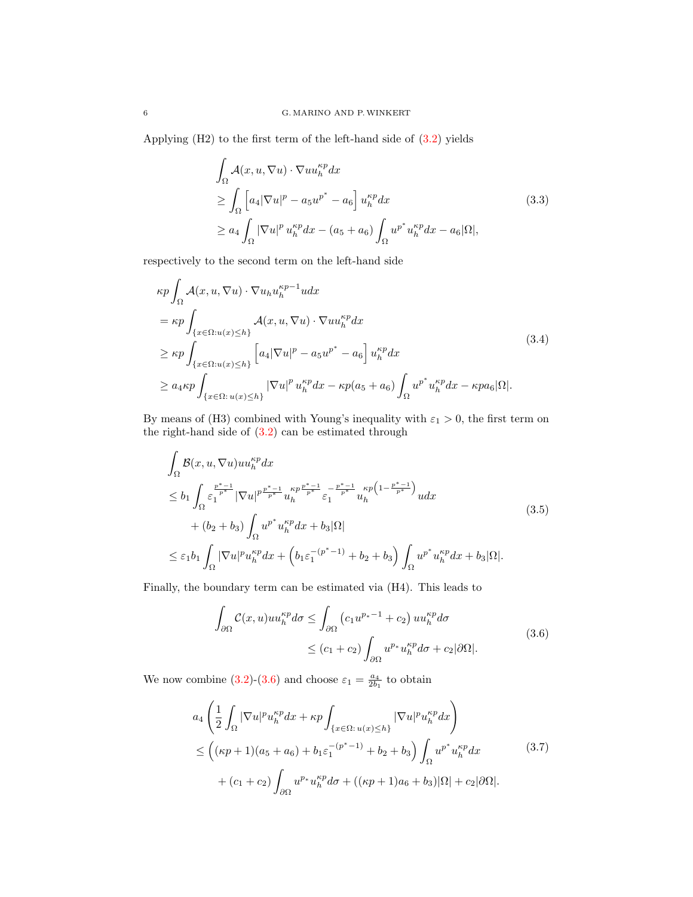Applying (H2) to the first term of the left-hand side of [\(3.2\)](#page-4-3) yields

$$
\int_{\Omega} \mathcal{A}(x, u, \nabla u) \cdot \nabla u u_h^{\kappa p} dx
$$
\n
$$
\geq \int_{\Omega} \left[ a_4 |\nabla u|^p - a_5 u^{p^*} - a_6 \right] u_h^{\kappa p} dx
$$
\n
$$
\geq a_4 \int_{\Omega} |\nabla u|^p u_h^{\kappa p} dx - (a_5 + a_6) \int_{\Omega} u^{p^*} u_h^{\kappa p} dx - a_6 |\Omega|,
$$
\n(3.3)

respectively to the second term on the left-hand side

$$
\kappa p \int_{\Omega} \mathcal{A}(x, u, \nabla u) \cdot \nabla u_h u_h^{\kappa p-1} u dx
$$
  
\n
$$
= \kappa p \int_{\{x \in \Omega : u(x) \le h\}} \mathcal{A}(x, u, \nabla u) \cdot \nabla u u_h^{\kappa p} dx
$$
  
\n
$$
\ge \kappa p \int_{\{x \in \Omega : u(x) \le h\}} \left[ a_4 |\nabla u|^p - a_5 u^{p^*} - a_6 \right] u_h^{\kappa p} dx
$$
  
\n
$$
\ge a_4 \kappa p \int_{\{x \in \Omega : u(x) \le h\}} |\nabla u|^p u_h^{\kappa p} dx - \kappa p(a_5 + a_6) \int_{\Omega} u^{p^*} u_h^{\kappa p} dx - \kappa p a_6 |\Omega|.
$$
 (3.4)

By means of (H3) combined with Young's inequality with  $\varepsilon_1 > 0$ , the first term on the right-hand side of  $(3.2)$  can be estimated through

$$
\int_{\Omega} \mathcal{B}(x, u, \nabla u) u u_h^{\kappa p} dx
$$
\n
$$
\leq b_1 \int_{\Omega} \varepsilon_1^{\frac{p^* - 1}{p^*}} |\nabla u|^{p \frac{p^* - 1}{p^*}} u_h^{\kappa p \frac{p^* - 1}{p^*}} \varepsilon_1^{-\frac{p^* - 1}{p^*}} u_h^{\kappa p} (1 - \frac{p^* - 1}{p^*}) u dx
$$
\n
$$
+ (b_2 + b_3) \int_{\Omega} u^{p^*} u_h^{\kappa p} dx + b_3 |\Omega|
$$
\n
$$
\leq \varepsilon_1 b_1 \int_{\Omega} |\nabla u|^p u_h^{\kappa p} dx + \left( b_1 \varepsilon_1^{-(p^* - 1)} + b_2 + b_3 \right) \int_{\Omega} u^{p^*} u_h^{\kappa p} dx + b_3 |\Omega|.
$$
\n(3.5)

Finally, the boundary term can be estimated via (H4). This leads to

<span id="page-5-0"></span>
$$
\int_{\partial\Omega} C(x, u)uu_h^{\kappa p}d\sigma \le \int_{\partial\Omega} \left(c_1 u^{p_*-1} + c_2\right)uu_h^{\kappa p}d\sigma
$$
\n
$$
\le (c_1 + c_2) \int_{\partial\Omega} u^{p_*}u_h^{\kappa p}d\sigma + c_2|\partial\Omega|.
$$
\n(3.6)

We now combine [\(3.2\)](#page-4-3)-[\(3.6\)](#page-5-0) and choose  $\varepsilon_1 = \frac{a_4}{2b_1}$  to obtain

<span id="page-5-1"></span>
$$
a_4 \left( \frac{1}{2} \int_{\Omega} |\nabla u|^p u_h^{\kappa p} dx + \kappa p \int_{\{x \in \Omega : u(x) \le h\}} |\nabla u|^p u_h^{\kappa p} dx \right)
$$
  
\n
$$
\le \left( (\kappa p + 1)(a_5 + a_6) + b_1 \varepsilon_1^{-(p^*-1)} + b_2 + b_3 \right) \int_{\Omega} u^{p^*} u_h^{\kappa p} dx
$$
(3.7)  
\n
$$
+ (c_1 + c_2) \int_{\partial \Omega} u^{p*} u_h^{\kappa p} d\sigma + ((\kappa p + 1)a_6 + b_3) |\Omega| + c_2 |\partial \Omega|.
$$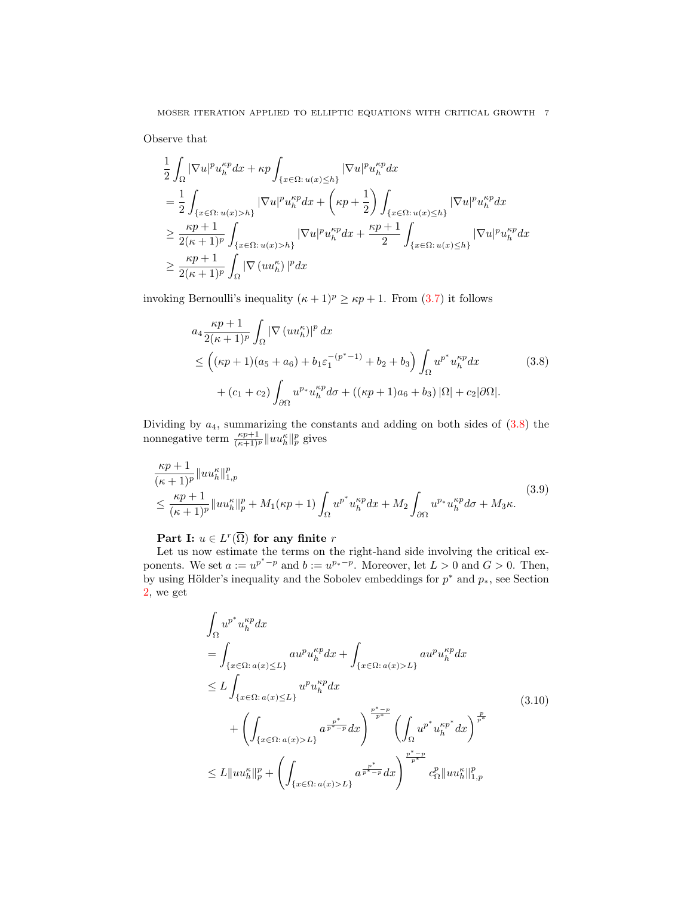Observe that

$$
\begin{split} &\frac{1}{2}\int_{\Omega}|\nabla u|^p u^{\kappa p}_{h}dx+\kappa p\int_{\{x\in\Omega:\,u(x)\leq h\}}|\nabla u|^p u^{\kappa p}_{h}dx\\ &=\frac{1}{2}\int_{\{x\in\Omega:\,u(x)>h\}}|\nabla u|^p u^{\kappa p}_{h}dx+\left(\kappa p+\frac{1}{2}\right)\int_{\{x\in\Omega:\,u(x)\leq h\}}|\nabla u|^p u^{\kappa p}_{h}dx\\ &\geq \frac{\kappa p+1}{2(\kappa+1)^p}\int_{\{x\in\Omega:\,u(x)>h\}}|\nabla u|^p u^{\kappa p}_{h}dx+\frac{\kappa p+1}{2}\int_{\{x\in\Omega:\,u(x)\leq h\}}|\nabla u|^p u^{\kappa p}_{h}dx\\ &\geq \frac{\kappa p+1}{2(\kappa+1)^p}\int_{\Omega}|\nabla (u u^{\kappa}_{h})|^pdx \end{split}
$$

invoking Bernoulli's inequality  $(\kappa + 1)^p \ge \kappa p + 1$ . From [\(3.7\)](#page-5-1) it follows

<span id="page-6-0"></span>
$$
a_4 \frac{\kappa p + 1}{2(\kappa + 1)^p} \int_{\Omega} |\nabla (u u_h^{\kappa})|^p dx
$$
  
\n
$$
\leq ((\kappa p + 1)(a_5 + a_6) + b_1 \varepsilon_1^{-(p^* - 1)} + b_2 + b_3) \int_{\Omega} u^{p^*} u_h^{\kappa p} dx
$$
(3.8)  
\n
$$
+ (c_1 + c_2) \int_{\partial \Omega} u^{p*} u_h^{\kappa p} d\sigma + ((\kappa p + 1)a_6 + b_3) |\Omega| + c_2 |\partial \Omega|.
$$

Dividing by  $a_4$ , summarizing the constants and adding on both sides of  $(3.8)$  the nonnegative term  $\frac{\kappa p+1}{(\kappa+1)^p} ||uu_h^{\kappa}||_p^p$  gives

$$
\frac{\kappa p+1}{(\kappa+1)^p} \|u u_h^{\kappa}\|_{1,p}^p
$$
\n
$$
\leq \frac{\kappa p+1}{(\kappa+1)^p} \|u u_h^{\kappa}\|_p^p + M_1(\kappa p+1) \int_{\Omega} u^{p^*} u_h^{\kappa p} dx + M_2 \int_{\partial \Omega} u^{p_*} u_h^{\kappa p} d\sigma + M_3 \kappa.
$$
\n(3.9)

Part I:  $u \in L^r(\overline{\Omega})$  for any finite r

Let us now estimate the terms on the right-hand side involving the critical exponents. We set  $a := u^{p^* - p}$  and  $b := u^{p_* - p}$ . Moreover, let  $L > 0$  and  $G > 0$ . Then, by using Hölder's inequality and the Sobolev embeddings for  $p^*$  and  $p_*$ , see Section [2,](#page-2-0) we get

<span id="page-6-2"></span><span id="page-6-1"></span>
$$
\int_{\Omega} u^{p^*} u_h^{kp} dx
$$
\n
$$
= \int_{\{x \in \Omega : a(x) \le L\}} a u^p u_h^{kp} dx + \int_{\{x \in \Omega : a(x) > L\}} a u^p u_h^{kp} dx
$$
\n
$$
\le L \int_{\{x \in \Omega : a(x) \le L\}} u^p u_h^{kp} dx
$$
\n
$$
+ \left( \int_{\{x \in \Omega : a(x) > L\}} a^{\frac{p^*}{p^*} - p} dx \right)^{\frac{p^* - p}{p^*}} \left( \int_{\Omega} u^{p^*} u_h^{kp^*} dx \right)^{\frac{p}{p^*}}
$$
\n
$$
\le L \|u u_h^{k} \|_p^p + \left( \int_{\{x \in \Omega : a(x) > L\}} a^{\frac{p^*}{p^*} - p} dx \right)^{\frac{p^* - p}{p^*}} c_{\Omega}^p \|u u_h^{k} \|_{1, p}^p
$$
\n(3.10)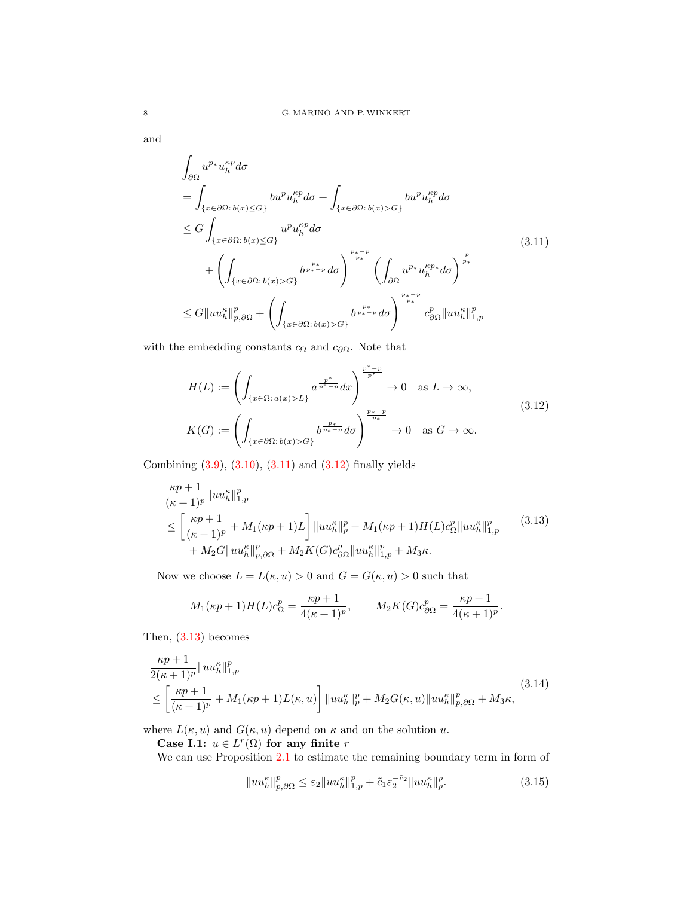and

<span id="page-7-0"></span>
$$
\int_{\partial\Omega} u^{p*} u_h^{\kappa p} d\sigma
$$
\n
$$
= \int_{\{x \in \partial\Omega : b(x) \le G\}} bu^{p} u_h^{\kappa p} d\sigma + \int_{\{x \in \partial\Omega : b(x) > G\}} bu^{p} u_h^{\kappa p} d\sigma
$$
\n
$$
\le G \int_{\{x \in \partial\Omega : b(x) \le G\}} u^{p} u_h^{\kappa p} d\sigma
$$
\n
$$
+ \left( \int_{\{x \in \partial\Omega : b(x) > G\}} b^{\frac{p_*}{p_*}} d\sigma \right)^{\frac{p_* - p}{p_*}} \left( \int_{\partial\Omega} u^{p*} u_h^{\kappa p*} d\sigma \right)^{\frac{p}{p_*}}
$$
\n
$$
\le G \|u u_h^{\kappa}\|_{p,\partial\Omega}^p + \left( \int_{\{x \in \partial\Omega : b(x) > G\}} b^{\frac{p_*}{p_*}} d\sigma \right)^{\frac{p_* - p}{p_*}} c_{\partial\Omega}^p \|u u_h^{\kappa}\|_{1,p}^p
$$
\n(3.11)

with the embedding constants  $c_{\Omega}$  and  $c_{\partial\Omega}$ . Note that

<span id="page-7-1"></span>
$$
H(L) := \left( \int_{\{x \in \Omega : a(x) > L\}} a^{\frac{p^*}{p^*} - p} dx \right)^{\frac{p^* - p}{p^*}} \to 0 \quad \text{as } L \to \infty,
$$
\n
$$
K(G) := \left( \int_{\{x \in \partial\Omega : b(x) > G\}} b^{\frac{p_*}{p_*} - p} d\sigma \right)^{\frac{p_* - p}{p_*}} \to 0 \quad \text{as } G \to \infty.
$$
\n
$$
(3.12)
$$

Combining [\(3.9\)](#page-6-1), [\(3.10\)](#page-6-2), [\(3.11\)](#page-7-0) and [\(3.12\)](#page-7-1) finally yields

$$
\frac{\kappa p + 1}{(\kappa + 1)^p} ||uu_h^{\kappa}||_{1,p}^p
$$
\n
$$
\leq \left[\frac{\kappa p + 1}{(\kappa + 1)^p} + M_1(\kappa p + 1)L\right] ||uu_h^{\kappa}||_p^p + M_1(\kappa p + 1)H(L)c_{\Omega}^p ||uu_h^{\kappa}||_{1,p}^p \qquad (3.13)
$$
\n
$$
+ M_2G||uu_h^{\kappa}||_{p,\partial\Omega}^p + M_2K(G)c_{\partial\Omega}^p ||uu_h^{\kappa}||_{1,p}^p + M_3\kappa.
$$

Now we choose  $L = L(\kappa, u) > 0$  and  $G = G(\kappa, u) > 0$  such that

<span id="page-7-2"></span>
$$
M_1(\kappa p + 1)H(L)c_{\Omega}^p = \frac{\kappa p + 1}{4(\kappa + 1)^p}, \qquad M_2K(G)c_{\partial\Omega}^p = \frac{\kappa p + 1}{4(\kappa + 1)^p}.
$$

Then, [\(3.13\)](#page-7-2) becomes

$$
\frac{\kappa p + 1}{2(\kappa + 1)^p} \|u u_h^{\kappa}\|_{1,p}^p
$$
\n
$$
\leq \left[\frac{\kappa p + 1}{(\kappa + 1)^p} + M_1(\kappa p + 1) L(\kappa, u)\right] \|u u_h^{\kappa}\|_p^p + M_2 G(\kappa, u) \|u u_h^{\kappa}\|_{p,\partial\Omega}^p + M_3 \kappa,
$$
\n(3.14)

where  $L(\kappa, u)$  and  $G(\kappa, u)$  depend on  $\kappa$  and on the solution u.

Case I.1:  $u \in L^r(\Omega)$  for any finite r

We can use Proposition [2.1](#page-3-4) to estimate the remaining boundary term in form of

<span id="page-7-4"></span><span id="page-7-3"></span>
$$
||uu_h^{\kappa}||_{p,\partial\Omega}^p \leq \varepsilon_2||uu_h^{\kappa}||_{1,p}^p + \tilde{c}_1\varepsilon_2^{-\tilde{c}_2}||uu_h^{\kappa}||_p^p. \tag{3.15}
$$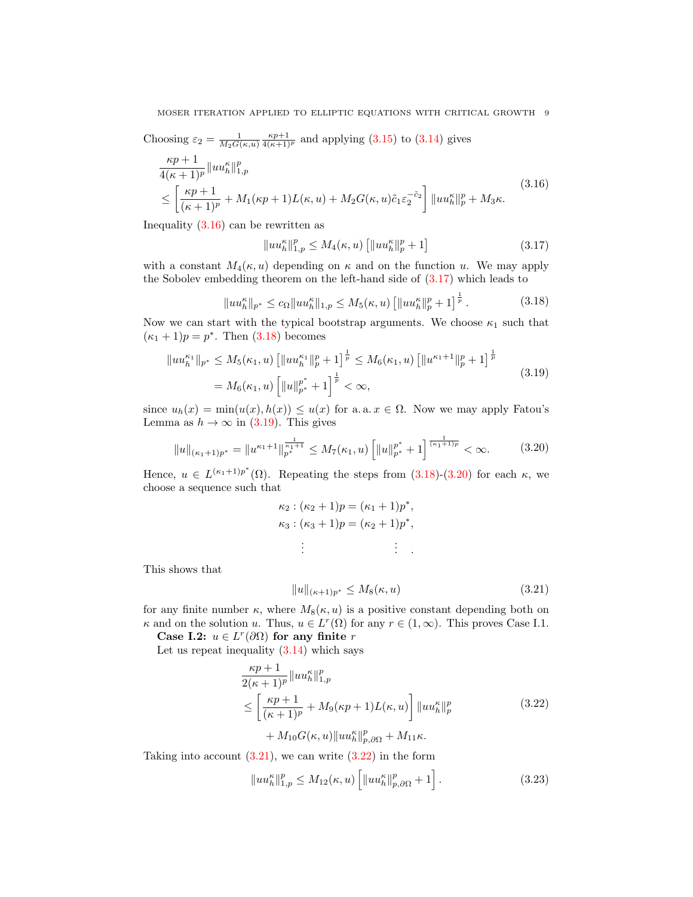Choosing  $\varepsilon_2 = \frac{1}{M_2 G(\kappa, u)} \frac{\kappa p+1}{4(\kappa+1)^p}$  and applying [\(3.15\)](#page-7-3) to [\(3.14\)](#page-7-4) gives

$$
\frac{\kappa p + 1}{4(\kappa + 1)^p} \|u u_h^{\kappa}\|_{1,p}^p
$$
\n
$$
\leq \left[\frac{\kappa p + 1}{(\kappa + 1)^p} + M_1(\kappa p + 1) L(\kappa, u) + M_2 G(\kappa, u) \tilde{c}_1 \varepsilon_2^{-\tilde{c}_2}\right] \|u u_h^{\kappa}\|_p^p + M_3 \kappa.
$$
\n(3.16)

Inequality [\(3.16\)](#page-8-0) can be rewritten as

<span id="page-8-2"></span><span id="page-8-1"></span><span id="page-8-0"></span>
$$
||uu_h^{\kappa}||_{1,p}^p \le M_4(\kappa, u) [||uu_h^{\kappa}||_p^p + 1]
$$
\n(3.17)

with a constant  $M_4(\kappa, u)$  depending on  $\kappa$  and on the function u. We may apply the Sobolev embedding theorem on the left-hand side of [\(3.17\)](#page-8-1) which leads to

$$
||uu_h^{\kappa}||_{p^*} \le c_{\Omega}||uu_h^{\kappa}||_{1,p} \le M_5(\kappa, u) \left[||uu_h^{\kappa}||_p^p + 1\right]^{\frac{1}{p}}.
$$
 (3.18)

Now we can start with the typical bootstrap arguments. We choose  $\kappa_1$  such that  $(\kappa_1 + 1)p = p^*$ . Then [\(3.18\)](#page-8-2) becomes

$$
||uu_h^{\kappa_1}||_{p^*} \le M_5(\kappa_1, u) \left[||uu_h^{\kappa_1}||_p^p + 1\right]^{\frac{1}{p}} \le M_6(\kappa_1, u) \left[||u^{\kappa_1+1}||_p^p + 1\right]^{\frac{1}{p}}
$$
  
=  $M_6(\kappa_1, u) \left[||u||_{p^*}^{p^*} + 1\right]^{\frac{1}{p}} < \infty,$  (3.19)

since  $u_h(x) = \min(u(x), h(x)) \le u(x)$  for a. a.  $x \in \Omega$ . Now we may apply Fatou's Lemma as  $h \to \infty$  in [\(3.19\)](#page-8-3). This gives

$$
||u||_{(\kappa_1+1)p^*} = ||u^{\kappa_1+1}||_{p^*}^{\frac{1}{\kappa_1+1}} \le M_7(\kappa_1, u) \left[ ||u||_{p^*}^{p^*} + 1 \right]^{\frac{1}{(\kappa_1+1)p}} < \infty.
$$
 (3.20)

Hence,  $u \in L^{(\kappa_1+1)p^*}(\Omega)$ . Repeating the steps from  $(3.18)-(3.20)$  $(3.18)-(3.20)$  $(3.18)-(3.20)$  for each  $\kappa$ , we choose a sequence such that

<span id="page-8-4"></span><span id="page-8-3"></span>
$$
\kappa_2 : (\kappa_2 + 1)p = (\kappa_1 + 1)p^*,\n\kappa_3 : (\kappa_3 + 1)p = (\kappa_2 + 1)p^*,\n\vdots \qquad \vdots \qquad \vdots
$$

This shows that

<span id="page-8-6"></span><span id="page-8-5"></span>
$$
||u||_{(\kappa+1)p^*} \le M_8(\kappa, u)
$$
\n(3.21)

for any finite number  $\kappa$ , where  $M_8(\kappa, u)$  is a positive constant depending both on  $\kappa$  and on the solution u. Thus,  $u \in L^r(\Omega)$  for any  $r \in (1,\infty)$ . This proves Case I.1.

Case I.2:  $u \in L^r(\partial\Omega)$  for any finite r

Let us repeat inequality  $(3.14)$  which says

$$
\frac{\kappa p + 1}{2(\kappa + 1)^p} \|u u_h^{\kappa}\|_{1,p}^p
$$
\n
$$
\leq \left[\frac{\kappa p + 1}{(\kappa + 1)^p} + M_9(\kappa p + 1)L(\kappa, u)\right] \|u u_h^{\kappa}\|_p^p
$$
\n
$$
+ M_{10} G(\kappa, u) \|u u_h^{\kappa}\|_{p,\partial\Omega}^p + M_{11} \kappa.
$$
\n(3.22)

Taking into account  $(3.21)$ , we can write  $(3.22)$  in the form

<span id="page-8-7"></span>
$$
||uu_h^{\kappa}||_{1,p}^p \le M_{12}(\kappa, u) \left[||uu_h^{\kappa}||_{p,\partial\Omega}^p + 1\right].
$$
 (3.23)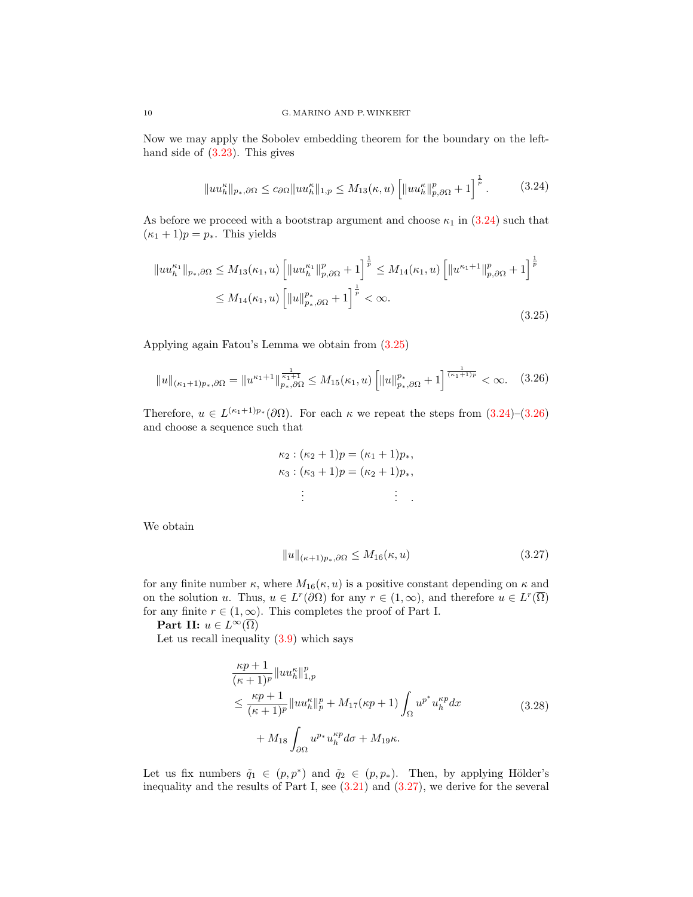Now we may apply the Sobolev embedding theorem for the boundary on the lefthand side of  $(3.23)$ . This gives

<span id="page-9-0"></span>
$$
||uu_h^{\kappa}||_{p_*,\partial\Omega} \le c_{\partial\Omega}||uu_h^{\kappa}||_{1,p} \le M_{13}(\kappa, u) \left[||uu_h^{\kappa}||_{p,\partial\Omega}^p + 1\right]^{\frac{1}{p}}.
$$
 (3.24)

As before we proceed with a bootstrap argument and choose  $\kappa_1$  in [\(3.24\)](#page-9-0) such that  $(\kappa_1 + 1)p = p_*$ . This yields

$$
||uu_h^{\kappa_1}||_{p_*,\partial\Omega} \le M_{13}(\kappa_1, u) \left[||uu_h^{\kappa_1}||_{p,\partial\Omega}^p + 1\right]^{\frac{1}{p}} \le M_{14}(\kappa_1, u) \left[||u^{\kappa_1+1}||_{p,\partial\Omega}^p + 1\right]^{\frac{1}{p}} \le M_{14}(\kappa_1, u) \left[||u||_{p_*,\partial\Omega}^{p_*} + 1\right]^{\frac{1}{p}} < \infty.
$$
\n(3.25)

Applying again Fatou's Lemma we obtain from [\(3.25\)](#page-9-1)

$$
||u||_{(\kappa_1+1)p_*,\partial\Omega} = ||u^{\kappa_1+1}||_{p_*,\partial\Omega}^{\frac{1}{\kappa_1+1}} \le M_{15}(\kappa_1,u) \left[||u||_{p_*,\partial\Omega}^{p_*} + 1\right]^{\frac{1}{(\kappa_1+1)p}} < \infty. \quad (3.26)
$$

Therefore,  $u \in L^{(\kappa_1+1)p_*}(\partial\Omega)$ . For each  $\kappa$  we repeat the steps from  $(3.24)-(3.26)$  $(3.24)-(3.26)$  $(3.24)-(3.26)$ and choose a sequence such that

<span id="page-9-2"></span><span id="page-9-1"></span>
$$
\kappa_2 : (\kappa_2 + 1)p = (\kappa_1 + 1)p_*,
$$
  

$$
\kappa_3 : (\kappa_3 + 1)p = (\kappa_2 + 1)p_*,
$$
  

$$
\vdots
$$

We obtain

<span id="page-9-4"></span><span id="page-9-3"></span>
$$
||u||_{(\kappa+1)p_*,\partial\Omega} \le M_{16}(\kappa,u) \tag{3.27}
$$

for any finite number  $\kappa$ , where  $M_{16}(\kappa, u)$  is a positive constant depending on  $\kappa$  and on the solution u. Thus,  $u \in L^r(\partial\Omega)$  for any  $r \in (1,\infty)$ , and therefore  $u \in L^r(\overline{\Omega})$ for any finite  $r \in (1,\infty)$ . This completes the proof of Part I.

**Part II:**  $u \in L^{\infty}(\overline{\Omega})$ 

Let us recall inequality  $(3.9)$  which says

$$
\frac{\kappa p + 1}{(\kappa + 1)^p} \| u u_h^{\kappa} \|_{1, p}^p
$$
  
\n
$$
\leq \frac{\kappa p + 1}{(\kappa + 1)^p} \| u u_h^{\kappa} \|_p^p + M_{17}(\kappa p + 1) \int_{\Omega} u^{p^*} u_h^{\kappa p} dx
$$
  
\n
$$
+ M_{18} \int_{\partial \Omega} u^{p_*} u_h^{\kappa p} d\sigma + M_{19} \kappa.
$$
\n(3.28)

Let us fix numbers  $\tilde{q}_1 \in (p, p^*)$  and  $\tilde{q}_2 \in (p, p_*)$ . Then, by applying Hölder's inequality and the results of Part I, see  $(3.21)$  and  $(3.27)$ , we derive for the several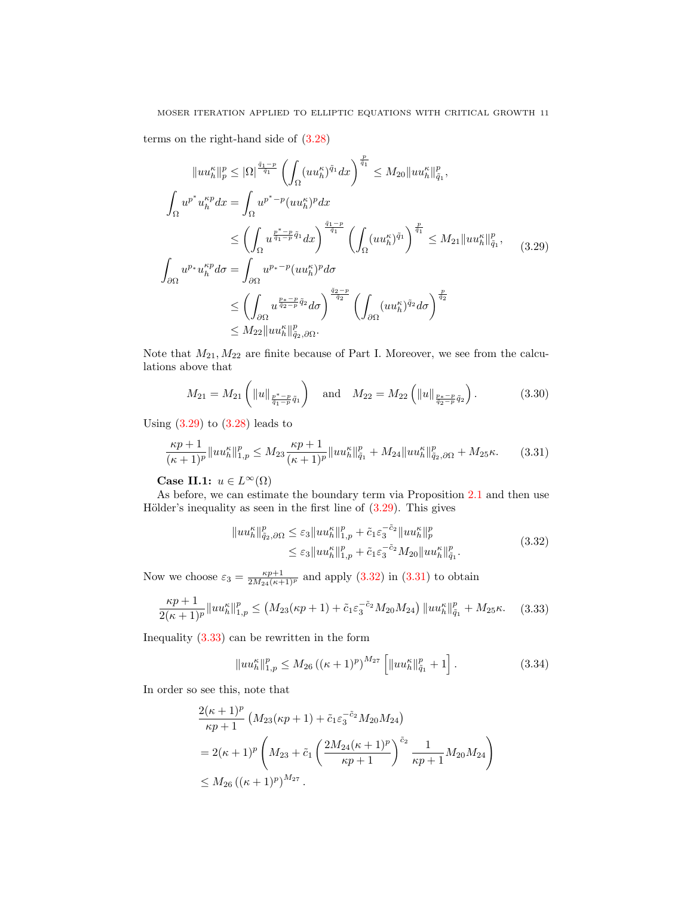# MOSER ITERATION APPLIED TO ELLIPTIC EQUATIONS WITH CRITICAL GROWTH 11

terms on the right-hand side of [\(3.28\)](#page-9-4)

$$
||uu_h^{\kappa}||_p^p \le |\Omega|^{\frac{\tilde{q}_1-p}{\tilde{q}_1}} \left(\int_{\Omega} (uu_h^{\kappa})^{\tilde{q}_1} dx\right)^{\frac{p}{\tilde{q}_1}} \le M_{20} ||uu_h^{\kappa}||_{\tilde{q}_1}^p,
$$
  

$$
\int_{\Omega} u^{p^*} u_h^{\kappa p} dx = \int_{\Omega} u^{p^* - p} (uu_h^{\kappa})^p dx
$$
  

$$
\le \left(\int_{\Omega} u^{\frac{p^* - p}{\tilde{q}_1 - p} \tilde{q}_1} dx\right)^{\frac{\tilde{q}_1 - p}{\tilde{q}_1}} \left(\int_{\Omega} (uu_h^{\kappa})^{\tilde{q}_1}\right)^{\frac{p}{\tilde{q}_1}} \le M_{21} ||uu_h^{\kappa}||_{\tilde{q}_1}^p,
$$
  

$$
\int_{\partial\Omega} u^{p_*} u_h^{\kappa p} d\sigma = \int_{\partial\Omega} u^{p_* - p} (uu_h^{\kappa})^p d\sigma
$$
  

$$
\le \left(\int_{\partial\Omega} u^{\frac{p_* - p}{\tilde{q}_2 - p} \tilde{q}_2} d\sigma\right)^{\frac{\tilde{q}_2 - p}{\tilde{q}_2}} \left(\int_{\partial\Omega} (uu_h^{\kappa})^{\tilde{q}_2} d\sigma\right)^{\frac{p}{\tilde{q}_2}}
$$
  

$$
\le M_{22} ||uu_h^{\kappa}||_{\tilde{q}_2, \partial\Omega}^p.
$$
  
(3.29)

Note that  $M_{21}$ ,  $M_{22}$  are finite because of Part I. Moreover, we see from the calculations above that

<span id="page-10-0"></span>
$$
M_{21} = M_{21} \left( \|u\|_{\frac{p^*-p}{\tilde{q}_1 - p}\tilde{q}_1} \right) \quad \text{and} \quad M_{22} = M_{22} \left( \|u\|_{\frac{p_* - p}{\tilde{q}_2 - p}\tilde{q}_2} \right). \tag{3.30}
$$

Using  $(3.29)$  to  $(3.28)$  leads to

$$
\frac{\kappa p+1}{(\kappa+1)^p} \|uu_h^{\kappa}\|_{1,p}^p \le M_{23} \frac{\kappa p+1}{(\kappa+1)^p} \|uu_h^{\kappa}\|_{\tilde{q}_1}^p + M_{24} \|uu_h^{\kappa}\|_{\tilde{q}_2,\partial\Omega}^p + M_{25}\kappa. \tag{3.31}
$$

Case II.1:  $u \in L^{\infty}(\Omega)$ 

As before, we can estimate the boundary term via Proposition [2.1](#page-3-4) and then use Hölder's inequality as seen in the first line of  $(3.29)$ . This gives

<span id="page-10-5"></span><span id="page-10-2"></span><span id="page-10-1"></span>
$$
||uu_h^{\kappa}||_{\tilde{q}_2,\partial\Omega}^p \leq \varepsilon_3 ||uu_h^{\kappa}||_{1,p}^p + \tilde{c}_1 \varepsilon_3^{-\tilde{c}_2} ||uu_h^{\kappa}||_p^p
$$
  

$$
\leq \varepsilon_3 ||uu_h^{\kappa}||_{1,p}^p + \tilde{c}_1 \varepsilon_3^{-\tilde{c}_2} M_{20} ||uu_h^{\kappa}||_{\tilde{q}_1}^p.
$$
 (3.32)

Now we choose  $\varepsilon_3 = \frac{\kappa p + 1}{2M_{24}(\kappa + 1)^p}$  and apply  $(3.32)$  in  $(3.31)$  to obtain

$$
\frac{\kappa p+1}{2(\kappa+1)^p} \|u u_h^{\kappa}\|_{1,p}^p \le \left(M_{23}(\kappa p+1) + \tilde{c}_1 \varepsilon_3^{-\tilde{c}_2} M_{20} M_{24}\right) \|u u_h^{\kappa}\|_{\tilde{q}_1}^p + M_{25} \kappa. \tag{3.33}
$$

Inequality [\(3.33\)](#page-10-3) can be rewritten in the form

<span id="page-10-4"></span><span id="page-10-3"></span>
$$
||uu_h^{\kappa}||_{1,p}^p \le M_{26} \left( (\kappa+1)^p \right)^{M_{27}} \left[ ||uu_h^{\kappa}||_{\tilde{q}_1}^p + 1 \right]. \tag{3.34}
$$

In order so see this, note that

$$
\frac{2(\kappa+1)^p}{\kappa p+1} \left( M_{23}(\kappa p+1) + \tilde{c}_1 \varepsilon_3^{-\tilde{c}_2} M_{20} M_{24} \right)
$$
  
=  $2(\kappa+1)^p \left( M_{23} + \tilde{c}_1 \left( \frac{2M_{24}(\kappa+1)^p}{\kappa p+1} \right)^{\tilde{c}_2} \frac{1}{\kappa p+1} M_{20} M_{24} \right)$   
 $\leq M_{26} \left( (\kappa+1)^p \right)^{M_{27}}.$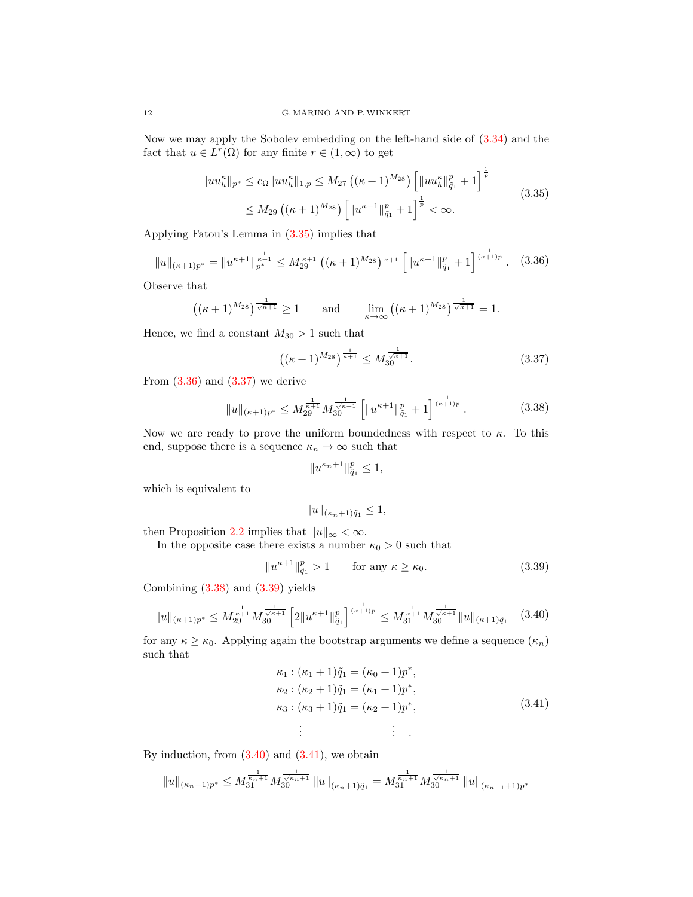Now we may apply the Sobolev embedding on the left-hand side of [\(3.34\)](#page-10-4) and the fact that  $u \in L^r(\Omega)$  for any finite  $r \in (1, \infty)$  to get

$$
||uu_h^{\kappa}||_{p^*} \le c_{\Omega}||uu_h^{\kappa}||_{1,p} \le M_{27} ((\kappa+1)^{M_{28}}) \left[||uu_h^{\kappa}||_{\tilde{q}_1}^p + 1\right]^{\frac{1}{p}} \le M_{29} ((\kappa+1)^{M_{28}}) \left[||u^{\kappa+1}||_{\tilde{q}_1}^p + 1\right]^{\frac{1}{p}} < \infty.
$$
\n(3.35)

Applying Fatou's Lemma in [\(3.35\)](#page-11-0) implies that

$$
||u||_{(\kappa+1)p^*} = ||u^{\kappa+1}||_{p^*}^{\frac{1}{\kappa+1}} \le M_{29}^{\frac{1}{\kappa+1}} ((\kappa+1)^{M_{28}})^{\frac{1}{\kappa+1}} \left[ ||u^{\kappa+1}||_{\tilde{q}_1}^p + 1 \right]^{\frac{1}{(\kappa+1)p}}.
$$
 (3.36)

Observe that

$$
((\kappa+1)^{M_{28}})^{\frac{1}{\sqrt{\kappa+1}}} \ge 1 \quad \text{and} \quad \lim_{\kappa \to \infty} ((\kappa+1)^{M_{28}})^{\frac{1}{\sqrt{\kappa+1}}} = 1.
$$

Hence, we find a constant  $M_{30} > 1$  such that

<span id="page-11-1"></span><span id="page-11-0"></span>
$$
\left( (\kappa + 1)^{M_{28}} \right)^{\frac{1}{\kappa + 1}} \le M_{30}^{\frac{1}{\sqrt{\kappa + 1}}}.
$$
\n(3.37)

From  $(3.36)$  and  $(3.37)$  we derive

$$
||u||_{(\kappa+1)p^*} \le M_{29}^{\frac{1}{\kappa+1}} M_{30}^{\frac{1}{\sqrt{\kappa+1}}} \left[ ||u^{\kappa+1}||_{\tilde{q}_1}^p + 1 \right]^{\frac{1}{(\kappa+1)p}}.
$$
 (3.38)

Now we are ready to prove the uniform boundedness with respect to  $\kappa$ . To this end, suppose there is a sequence  $\kappa_n \to \infty$  such that

<span id="page-11-3"></span><span id="page-11-2"></span>
$$
\|u^{\kappa_n+1}\|_{\tilde q_1}^p\leq 1,
$$

which is equivalent to

<span id="page-11-5"></span><span id="page-11-4"></span>
$$
||u||_{(\kappa_n+1)\tilde{q}_1}\leq 1,
$$

then Proposition [2.2](#page-3-2) implies that  $||u||_{\infty} < \infty$ .

In the opposite case there exists a number  $\kappa_0 > 0$  such that

$$
||u^{\kappa+1}||_{\tilde{q}_1}^p > 1 \qquad \text{for any } \kappa \ge \kappa_0. \tag{3.39}
$$

Combining [\(3.38\)](#page-11-3) and [\(3.39\)](#page-11-4) yields

$$
||u||_{(\kappa+1)p^*} \le M_{29}^{\frac{1}{\kappa+1}} M_{30}^{\frac{1}{\sqrt{\kappa+1}}} \left[2||u^{\kappa+1}||_{\tilde{q}_1}^p\right]^{\frac{1}{(\kappa+1)p}} \le M_{31}^{\frac{1}{\kappa+1}} M_{30}^{\frac{1}{\sqrt{\kappa+1}}} ||u||_{(\kappa+1)\tilde{q}_1} \tag{3.40}
$$

for any  $\kappa \geq \kappa_0$ . Applying again the bootstrap arguments we define a sequence  $(\kappa_n)$ such that

<span id="page-11-6"></span>
$$
\kappa_1: (\kappa_1 + 1)\tilde{q}_1 = (\kappa_0 + 1)p^*,\n\kappa_2: (\kappa_2 + 1)\tilde{q}_1 = (\kappa_1 + 1)p^*,\n\kappa_3: (\kappa_3 + 1)\tilde{q}_1 = (\kappa_2 + 1)p^*,\n\vdots \qquad \vdots \qquad (3.41)
$$

By induction, from  $(3.40)$  and  $(3.41)$ , we obtain

$$
||u||_{(\kappa_n+1)p^*} \leq M_{31}^{\frac{1}{\kappa_n+1}} M_{30}^{\frac{1}{\sqrt{\kappa_n+1}}} ||u||_{(\kappa_n+1)\tilde{q}_1} = M_{31}^{\frac{1}{\kappa_n+1}} M_{30}^{\frac{1}{\sqrt{\kappa_n+1}}} ||u||_{(\kappa_{n-1}+1)p^*}
$$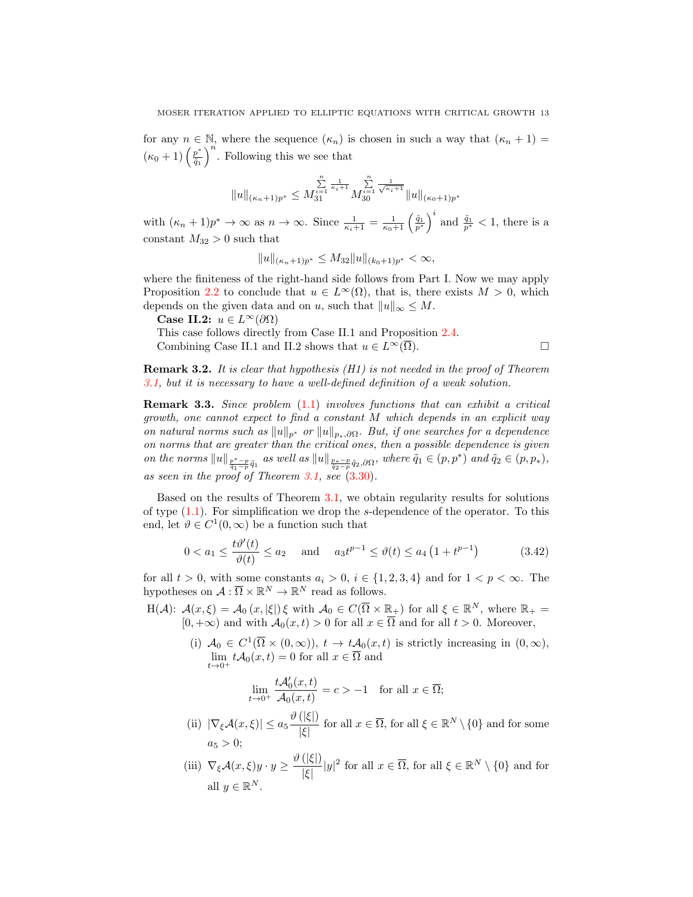for any  $n \in \mathbb{N}$ , where the sequence  $(\kappa_n)$  is chosen in such a way that  $(\kappa_n + 1)$  $(\kappa_0+1)\left(\frac{p^*}{\tilde{a}_1}\right)$  $\left(\frac{p^*}{\tilde{q}_1}\right)^n$ . Following this we see that

$$
||u||_{(\kappa_n+1)p^*}\leq M_{31}^{\sum\limits_{i=1}^{n}\frac{1}{\kappa_i+1}}M_{30}^{\sum\limits_{i=1}^{n}\frac{1}{\sqrt{\kappa_i+1}}}\|u\|_{(\kappa_0+1)p^*}
$$

with  $(\kappa_n+1)p^* \to \infty$  as  $n \to \infty$ . Since  $\frac{1}{\kappa_i+1} = \frac{1}{\kappa_0+1} \left(\frac{\tilde{q}_1}{p^*}\right)^i$  and  $\frac{\tilde{q}_1}{p^*} < 1$ , there is a constant  $M_{32} > 0$  such that

$$
||u||_{(\kappa_n+1)p^*} \le M_{32}||u||_{(\kappa_0+1)p^*} < \infty,
$$

where the finiteness of the right-hand side follows from Part I. Now we may apply Proposition [2.2](#page-3-2) to conclude that  $u \in L^{\infty}(\Omega)$ , that is, there exists  $M > 0$ , which depends on the given data and on u, such that  $||u||_{\infty} \leq M$ .

Case II.2:  $u \in L^{\infty}(\partial\Omega)$ 

This case follows directly from Case II.1 and Proposition [2.4.](#page-3-0) Combining Case II.1 and II.2 shows that  $u \in L^{\infty}(\overline{\Omega})$ .

<span id="page-12-0"></span>

**Remark 3.2.** It is clear that hypothesis  $(H1)$  is not needed in the proof of Theorem [3.1,](#page-4-1) but it is necessary to have a well-defined definition of a weak solution.

Remark 3.3. Since problem [\(1.1\)](#page-0-1) involves functions that can exhibit a critical growth, one cannot expect to find a constant M which depends in an explicit way on natural norms such as  $||u||_{p*}$  or  $||u||_{p_*,\partial\Omega}$ . But, if one searches for a dependence on norms that are greater than the critical ones, then a possible dependence is given on the norms  $||u||_{\frac{p^*-p}{\tilde{q}_1-\tilde{p}}\tilde{q}_1}$  as well as  $||u||_{\frac{p_*-p}{\tilde{q}_2-\tilde{p}}\tilde{q}_2,\partial\Omega}$ , where  $\tilde{q}_1 \in (p,p^*)$  and  $\tilde{q}_2 \in (p,p_*)$ , as seen in the proof of Theorem [3.1,](#page-4-1) see [\(3.30\)](#page-10-5).

Based on the results of Theorem [3.1,](#page-4-1) we obtain regularity results for solutions of type [\(1.1\)](#page-0-1). For simplification we drop the s-dependence of the operator. To this end, let  $\vartheta \in C^1(0,\infty)$  be a function such that

$$
0 < a_1 \le \frac{t\vartheta'(t)}{\vartheta(t)} \le a_2 \quad \text{and} \quad a_3 t^{p-1} \le \vartheta(t) \le a_4 \left(1 + t^{p-1}\right) \tag{3.42}
$$

for all  $t > 0$ , with some constants  $a_i > 0$ ,  $i \in \{1, 2, 3, 4\}$  and for  $1 < p < \infty$ . The hypotheses on  $A: \overline{\Omega} \times \mathbb{R}^N \to \mathbb{R}^N$  read as follows.

- $H(\mathcal{A})$ :  $\mathcal{A}(x,\xi) = \mathcal{A}_0(x,|\xi|) \xi$  with  $\mathcal{A}_0 \in C(\overline{\Omega} \times \mathbb{R}_+)$  for all  $\xi \in \mathbb{R}^N$ , where  $\mathbb{R}_+$  $[0, +\infty)$  and with  $\mathcal{A}_0(x, t) > 0$  for all  $x \in \overline{\Omega}$  and for all  $t > 0$ . Moreover,
	- (i)  $A_0 \in C^1(\overline{\Omega} \times (0,\infty))$ ,  $t \to tA_0(x,t)$  is strictly increasing in  $(0,\infty)$ ,  $\lim_{t\to 0^+} t\mathcal{A}_0(x,t) = 0$  for all  $x \in \Omega$  and

$$
\lim_{t \to 0^+} \frac{t\mathcal{A}_0'(x,t)}{\mathcal{A}_0(x,t)} = c > -1 \quad \text{for all } x \in \overline{\Omega};
$$

- (ii)  $|\nabla_{\xi} \mathcal{A}(x,\xi)| \leq a_5 \frac{\vartheta(|\xi|)}{|\xi|}$  $\frac{(|S|)}{|\xi|}$  for all  $x \in \overline{\Omega}$ , for all  $\xi \in \mathbb{R}^N \setminus \{0\}$  and for some  $a_5 > 0$ ;
- (iii)  $\nabla_{\xi} \mathcal{A}(x,\xi) y \cdot y \geq \frac{\vartheta(|\xi|)}{|\xi|}$  $\frac{(|S|)}{|\xi|}|y|^2$  for all  $x \in \overline{\Omega}$ , for all  $\xi \in \mathbb{R}^N \setminus \{0\}$  and for all  $y \in \mathbb{R}^N$ .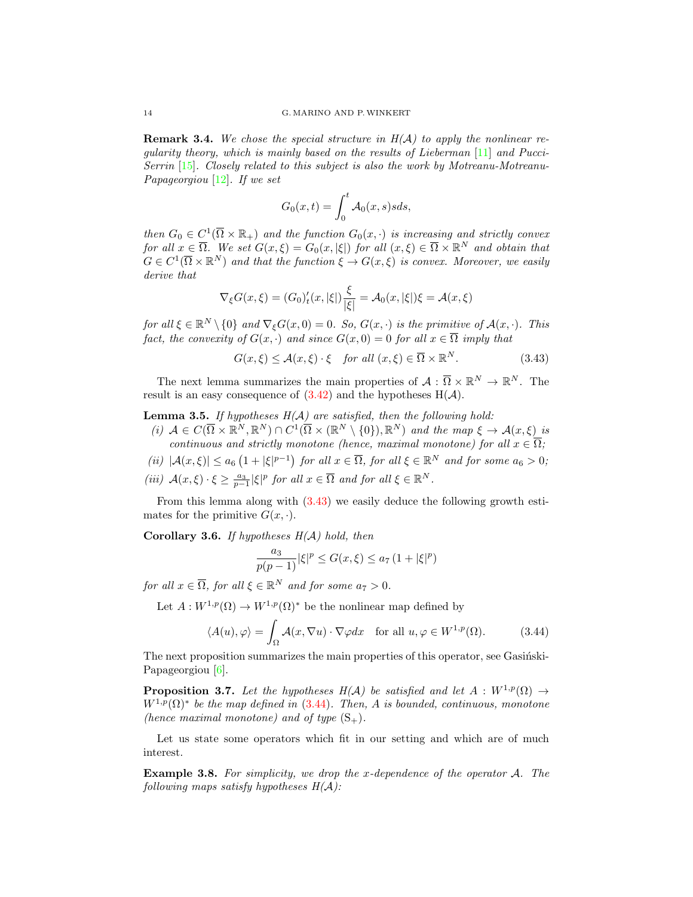**Remark 3.4.** We chose the special structure in  $H(A)$  to apply the nonlinear regularity theory, which is mainly based on the results of Lieberman [\[11\]](#page-15-8) and Pucci-Serrin [\[15\]](#page-16-12). Closely related to this subject is also the work by Motreanu-Motreanu-Papageorgiou [\[12\]](#page-15-10). If we set

<span id="page-13-0"></span>
$$
G_0(x,t) = \int_0^t \mathcal{A}_0(x,s)sds,
$$

then  $G_0 \in C^1(\overline{\Omega} \times \mathbb{R}_+)$  and the function  $G_0(x, \cdot)$  is increasing and strictly convex for all  $x \in \overline{\Omega}$ . We set  $G(x,\xi) = G_0(x,|\xi|)$  for all  $(x,\xi) \in \overline{\Omega} \times \mathbb{R}^N$  and obtain that  $G \in C^1(\overline{\Omega} \times \mathbb{R}^N)$  and that the function  $\xi \to G(x,\xi)$  is convex. Moreover, we easily derive that

$$
\nabla_{\xi} G(x,\xi) = (G_0)'_t(x,|\xi|) \frac{\xi}{|\xi|} = \mathcal{A}_0(x,|\xi|) \xi = \mathcal{A}(x,\xi)
$$

for all  $\xi \in \mathbb{R}^N \setminus \{0\}$  and  $\nabla_{\xi} G(x, 0) = 0$ . So,  $G(x, \cdot)$  is the primitive of  $\mathcal{A}(x, \cdot)$ . This fact, the convexity of  $G(x, \cdot)$  and since  $G(x, 0) = 0$  for all  $x \in \overline{\Omega}$  imply that

$$
G(x,\xi) \le \mathcal{A}(x,\xi) \cdot \xi \quad \text{for all } (x,\xi) \in \overline{\Omega} \times \mathbb{R}^N. \tag{3.43}
$$

The next lemma summarizes the main properties of  $\mathcal{A}: \overline{\Omega} \times \mathbb{R}^N \to \mathbb{R}^N$ . The result is an easy consequence of  $(3.42)$  and the hypotheses  $H(A)$ .

**Lemma 3.5.** If hypotheses  $H(A)$  are satisfied, then the following hold:

(i)  $A \in C(\overline{\Omega} \times \mathbb{R}^N, \mathbb{R}^N) \cap C^1(\overline{\Omega} \times (\mathbb{R}^N \setminus \{0\}), \mathbb{R}^N)$  and the map  $\xi \to A(x, \xi)$  is continuous and strictly monotone (hence, maximal monotone) for all  $x \in \overline{\Omega}$ ; (ii)  $|\mathcal{A}(x,\xi)| \leq a_6 \left(1+|\xi|^{p-1}\right)$  for all  $x \in \overline{\Omega}$ , for all  $\xi \in \mathbb{R}^N$  and for some  $a_6 > 0$ ; (iii)  $\mathcal{A}(x,\xi)\cdot \xi \geq \frac{a_3}{p-1}|\xi|^p$  for all  $x \in \overline{\Omega}$  and for all  $\xi \in \mathbb{R}^N$ .

From this lemma along with [\(3.43\)](#page-13-0) we easily deduce the following growth estimates for the primitive  $G(x, \cdot)$ .

Corollary 3.6. If hypotheses  $H(A)$  hold, then

<span id="page-13-1"></span>
$$
\frac{a_3}{p(p-1)}|\xi|^p \le G(x,\xi) \le a_7 (1+|\xi|^p)
$$

for all  $x \in \overline{\Omega}$ , for all  $\xi \in \mathbb{R}^N$  and for some  $a_7 > 0$ .

Let  $A: W^{1,p}(\Omega) \to W^{1,p}(\Omega)^*$  be the nonlinear map defined by

$$
\langle A(u), \varphi \rangle = \int_{\Omega} \mathcal{A}(x, \nabla u) \cdot \nabla \varphi dx \quad \text{for all } u, \varphi \in W^{1, p}(\Omega). \tag{3.44}
$$

The next proposition summarizes the main properties of this operator, see Gasingski-Papageorgiou [\[6\]](#page-15-11).

**Proposition 3.7.** Let the hypotheses H(A) be satisfied and let  $A : W^{1,p}(\Omega) \to$  $W^{1,p}(\Omega)^*$  be the map defined in [\(3.44\)](#page-13-1). Then, A is bounded, continuous, monotone (hence maximal monotone) and of type  $(S_+)$ .

Let us state some operators which fit in our setting and which are of much interest.

Example 3.8. For simplicity, we drop the x-dependence of the operator A. The following maps satisfy hypotheses  $H(A)$ :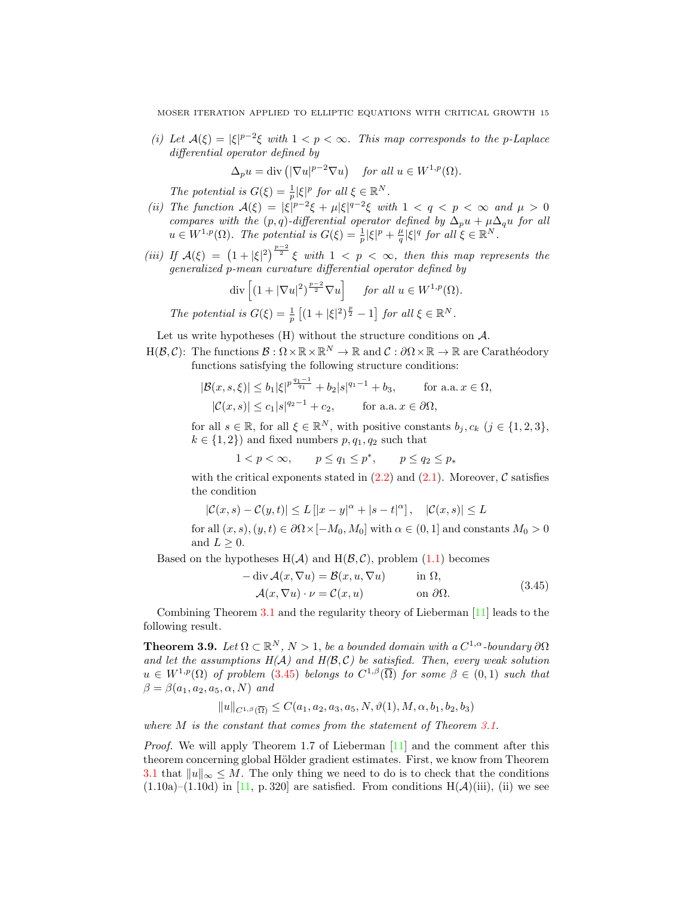(i) Let  $A(\xi) = |\xi|^{p-2}\xi$  with  $1 < p < \infty$ . This map corresponds to the p-Laplace differential operator defined by

$$
\Delta_p u = \text{div}\left( |\nabla u|^{p-2} \nabla u \right) \quad \text{for all } u \in W^{1,p}(\Omega).
$$

The potential is  $G(\xi) = \frac{1}{p} |\xi|^p$  for all  $\xi \in \mathbb{R}^N$ .

- (ii) The function  $A(\xi) = |\xi|^{p-2}\xi + \mu |\xi|^{q-2}\xi$  with  $1 < q < p < \infty$  and  $\mu > 0$ compares with the  $(p, q)$ -differential operator defined by  $\Delta_p u + \mu \Delta_q u$  for all  $u \in W^{1,p}(\Omega)$ . The potential is  $G(\xi) = \frac{1}{p} |\xi|^p + \frac{\mu}{q} |\xi|^q$  for all  $\xi \in \mathbb{R}^N$ .
- (iii) If  $\mathcal{A}(\xi) = (1+|\xi|^2)^{\frac{p-2}{2}} \xi$  with  $1 < p < \infty$ , then this map represents the generalized p-mean curvature differential operator defined by

$$
\operatorname{div}\left[ (1+|\nabla u|^2)^{\frac{p-2}{2}} \nabla u \right] \quad \text{for all } u \in W^{1,p}(\Omega).
$$
  
The potential is  $G(\xi) = \frac{1}{p} \left[ (1+|\xi|^2)^{\frac{p}{2}} - 1 \right]$  for all  $\xi \in \mathbb{R}^N$ .

Let us write hypotheses (H) without the structure conditions on  $A$ .

 $H(\mathcal{B},\mathcal{C})$ : The functions  $\mathcal{B}: \Omega \times \mathbb{R} \times \mathbb{R}^N \to \mathbb{R}$  and  $\mathcal{C}: \partial \Omega \times \mathbb{R} \to \mathbb{R}$  are Carathéodory functions satisfying the following structure conditions:

$$
|\mathcal{B}(x,s,\xi)| \le b_1 |\xi|^{p \frac{q_1 - 1}{q_1}} + b_2 |s|^{q_1 - 1} + b_3, \quad \text{for a.a. } x \in \Omega,
$$
  

$$
|\mathcal{C}(x,s)| \le c_1 |s|^{q_2 - 1} + c_2, \quad \text{for a.a. } x \in \partial\Omega,
$$

for all  $s \in \mathbb{R}$ , for all  $\xi \in \mathbb{R}^N$ , with positive constants  $b_j, c_k$   $(j \in \{1, 2, 3\},\)$  $k \in \{1, 2\}$  and fixed numbers  $p, q_1, q_2$  such that

$$
1 < p < \infty, \qquad p \le q_1 \le p^*, \qquad p \le q_2 \le p_*
$$

with the critical exponents stated in  $(2.2)$  and  $(2.1)$ . Moreover, C satisfies the condition

$$
|\mathcal{C}(x,s) - \mathcal{C}(y,t)| \le L[|x-y|^{\alpha} + |s-t|^{\alpha}], \quad |\mathcal{C}(x,s)| \le L
$$
  
for all  $(x,s), (y,t) \in \partial\Omega \times [-M_0, M_0]$  with  $\alpha \in (0,1]$  and constants  $M_0 > 0$   
and  $L > 0$ .

Based on the hypotheses  $H(A)$  and  $H(\mathcal{B}, \mathcal{C})$ , problem  $(1.1)$  becomes

<span id="page-14-0"></span>
$$
-\operatorname{div} \mathcal{A}(x, \nabla u) = \mathcal{B}(x, u, \nabla u) \quad \text{in } \Omega,
$$
  

$$
\mathcal{A}(x, \nabla u) \cdot \nu = \mathcal{C}(x, u) \quad \text{on } \partial \Omega.
$$
 (3.45)

Combining Theorem [3.1](#page-4-1) and the regularity theory of Lieberman [\[11\]](#page-15-8) leads to the following result.

**Theorem 3.9.** Let  $\Omega \subset \mathbb{R}^N$ ,  $N > 1$ , be a bounded domain with a  $C^{1,\alpha}$ -boundary  $\partial\Omega$ and let the assumptions  $H(A)$  and  $H(\mathcal{B}, \mathcal{C})$  be satisfied. Then, every weak solution  $u \in W^{1,p}(\Omega)$  of problem  $(3.45)$  belongs to  $C^{1,\beta}(\overline{\Omega})$  for some  $\beta \in (0,1)$  such that  $\beta = \beta(a_1, a_2, a_5, \alpha, N)$  and

$$
||u||_{C^{1,\beta}(\overline{\Omega})} \leq C(a_1, a_2, a_3, a_5, N, \vartheta(1), M, \alpha, b_1, b_2, b_3)
$$

where M is the constant that comes from the statement of Theorem [3.1.](#page-4-1)

*Proof.* We will apply Theorem 1.7 of Lieberman  $\left[11\right]$  and the comment after this theorem concerning global Hölder gradient estimates. First, we know from Theorem [3.1](#page-4-1) that  $||u||_{\infty} \leq M$ . The only thing we need to do is to check that the conditions  $(1.10a)$ – $(1.10d)$  in [\[11,](#page-15-8) p. 320] are satisfied. From conditions H( $\mathcal{A}$ )(iii), (ii) we see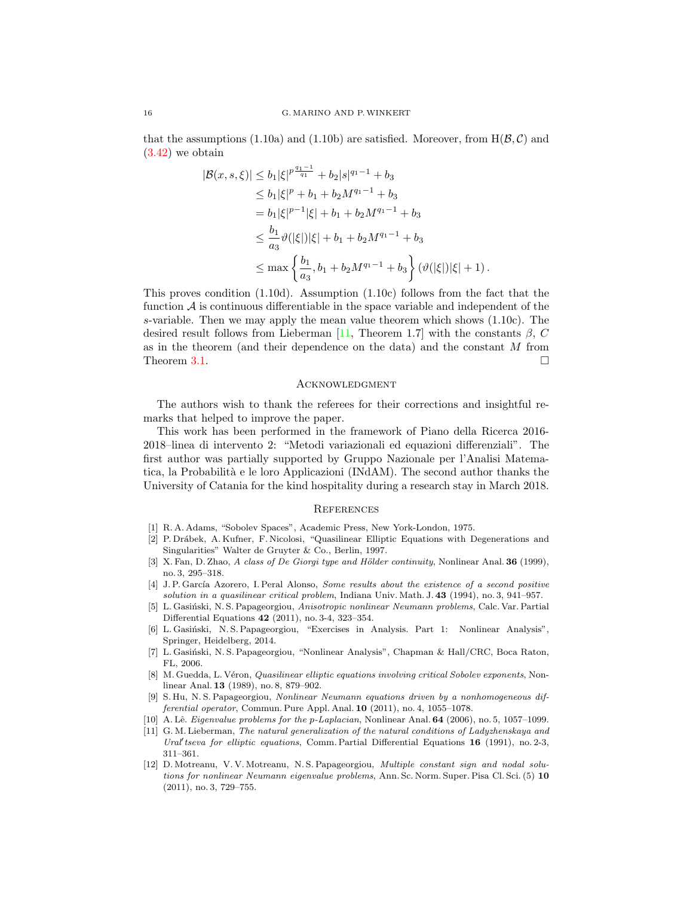that the assumptions (1.10a) and (1.10b) are satisfied. Moreover, from  $H(\mathcal{B}, \mathcal{C})$  and [\(3.42\)](#page-12-0) we obtain

$$
|\mathcal{B}(x, s, \xi)| \le b_1 |\xi|^{p \frac{q_1 - 1}{q_1}} + b_2 |s|^{q_1 - 1} + b_3
$$
  
\n
$$
\le b_1 |\xi|^{p} + b_1 + b_2 M^{q_1 - 1} + b_3
$$
  
\n
$$
= b_1 |\xi|^{p-1} |\xi| + b_1 + b_2 M^{q_1 - 1} + b_3
$$
  
\n
$$
\le \frac{b_1}{a_3} \vartheta(|\xi|) |\xi| + b_1 + b_2 M^{q_1 - 1} + b_3
$$
  
\n
$$
\le \max \left\{ \frac{b_1}{a_3}, b_1 + b_2 M^{q_1 - 1} + b_3 \right\} (\vartheta(|\xi|) |\xi| + 1).
$$

This proves condition (1.10d). Assumption (1.10c) follows from the fact that the function  $\mathcal A$  is continuous differentiable in the space variable and independent of the s-variable. Then we may apply the mean value theorem which shows (1.10c). The desired result follows from Lieberman [\[11,](#page-15-8) Theorem 1.7] with the constants  $\beta$ , C as in the theorem (and their dependence on the data) and the constant M from Theorem [3.1.](#page-4-1)  $\Box$ 

#### **ACKNOWLEDGMENT**

The authors wish to thank the referees for their corrections and insightful remarks that helped to improve the paper.

This work has been performed in the framework of Piano della Ricerca 2016- 2018–linea di intervento 2: "Metodi variazionali ed equazioni differenziali". The first author was partially supported by Gruppo Nazionale per l'Analisi Matematica, la Probabilit`a e le loro Applicazioni (INdAM). The second author thanks the University of Catania for the kind hospitality during a research stay in March 2018.

### **REFERENCES**

- <span id="page-15-9"></span>[1] R. A. Adams, "Sobolev Spaces", Academic Press, New York-London, 1975.
- <span id="page-15-0"></span>[2] P. Dr´abek, A. Kufner, F. Nicolosi, "Quasilinear Elliptic Equations with Degenerations and Singularities" Walter de Gruyter & Co., Berlin, 1997.
- <span id="page-15-3"></span>[3] X. Fan, D. Zhao, A class of De Giorgi type and Hölder continuity, Nonlinear Anal.  $36$  (1999), no. 3, 295–318.
- <span id="page-15-1"></span>[4] J. P. García Azorero, I. Peral Alonso, Some results about the existence of a second positive solution in a quasilinear critical problem, Indiana Univ. Math. J. 43 (1994), no. 3, 941–957.
- <span id="page-15-4"></span>[5] L. Gasiński, N. S. Papageorgiou, Anisotropic nonlinear Neumann problems, Calc. Var. Partial Differential Equations 42 (2011), no. 3-4, 323–354.
- <span id="page-15-11"></span>[6] L. Gasiński, N. S. Papageorgiou, "Exercises in Analysis. Part 1: Nonlinear Analysis", Springer, Heidelberg, 2014.
- <span id="page-15-5"></span>[7] L. Gasiński, N. S. Papageorgiou, "Nonlinear Analysis", Chapman & Hall/CRC, Boca Raton, FL, 2006.
- <span id="page-15-2"></span>[8] M. Guedda, L. Véron, *Quasilinear elliptic equations involving critical Sobolev exponents*, Nonlinear Anal. 13 (1989), no. 8, 879–902.
- <span id="page-15-6"></span>[9] S. Hu, N. S. Papageorgiou, Nonlinear Neumann equations driven by a nonhomogeneous differential operator, Commun. Pure Appl. Anal. 10 (2011), no. 4, 1055–1078.
- <span id="page-15-7"></span>[10] A. Lê. Eigenvalue problems for the p-Laplacian, Nonlinear Anal. 64 (2006), no. 5, 1057–1099.
- <span id="page-15-8"></span>[11] G. M. Lieberman, The natural generalization of the natural conditions of Ladyzhenskaya and Ural' tseva for elliptic equations, Comm. Partial Differential Equations  $16$  (1991), no. 2-3, 311–361.
- <span id="page-15-10"></span>[12] D. Motreanu, V. V. Motreanu, N. S. Papageorgiou, Multiple constant sign and nodal solutions for nonlinear Neumann eigenvalue problems, Ann. Sc. Norm. Super. Pisa Cl. Sci. (5) 10 (2011), no. 3, 729–755.